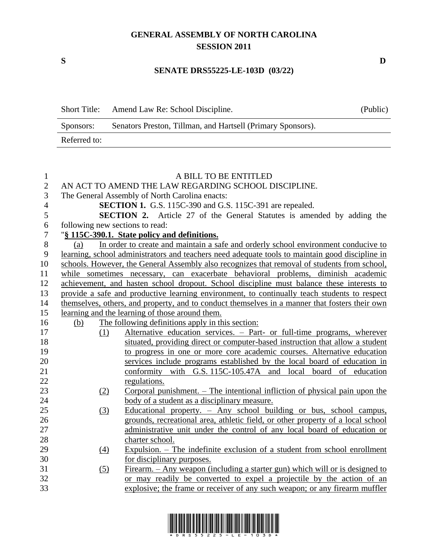## **GENERAL ASSEMBLY OF NORTH CAROLINA SESSION 2011**

 $\overline{\phantom{0}}$ 

### **SENATE DRS55225-LE-103D (03/22)**

| <b>Short Title:</b> | Amend Law Re: School Discipline.                            | (Public) |
|---------------------|-------------------------------------------------------------|----------|
| Sponsors:           | Senators Preston, Tillman, and Hartsell (Primary Sponsors). |          |
| Referred to:        |                                                             |          |

| $\mathbf{1}$   |                                 | A BILL TO BE ENTITLED                                                                           |
|----------------|---------------------------------|-------------------------------------------------------------------------------------------------|
| $\mathbf{2}$   |                                 | AN ACT TO AMEND THE LAW REGARDING SCHOOL DISCIPLINE.                                            |
| 3              |                                 | The General Assembly of North Carolina enacts:                                                  |
| $\overline{4}$ |                                 | SECTION 1. G.S. 115C-390 and G.S. 115C-391 are repealed.                                        |
| 5              |                                 | <b>SECTION 2.</b> Article 27 of the General Statutes is amended by adding the                   |
| 6              | following new sections to read: |                                                                                                 |
| $\overline{7}$ |                                 | "§ 115C-390.1. State policy and definitions.                                                    |
| $8\,$          | (a)                             | In order to create and maintain a safe and orderly school environment conducive to              |
| 9              |                                 | learning, school administrators and teachers need adequate tools to maintain good discipline in |
| 10             |                                 | schools. However, the General Assembly also recognizes that removal of students from school,    |
| 11             |                                 | while sometimes necessary, can exacerbate behavioral problems, diminish academic                |
| 12             |                                 | achievement, and hasten school dropout. School discipline must balance these interests to       |
| 13             |                                 | provide a safe and productive learning environment, to continually teach students to respect    |
| 14             |                                 | themselves, others, and property, and to conduct themselves in a manner that fosters their own  |
| 15             |                                 | learning and the learning of those around them.                                                 |
| 16             | (b)                             | The following definitions apply in this section:                                                |
| 17             | (1)                             | Alternative education services. - Part- or full-time programs, wherever                         |
| 18             |                                 | situated, providing direct or computer-based instruction that allow a student                   |
| 19             |                                 | to progress in one or more core academic courses. Alternative education                         |
| 20             |                                 | services include programs established by the local board of education in                        |
| 21             |                                 | conformity with G.S. 115C-105.47A and local board of education                                  |
| 22             |                                 | regulations.                                                                                    |
| 23             | (2)                             | Corporal punishment. $-$ The intentional infliction of physical pain upon the                   |
| 24             |                                 | body of a student as a disciplinary measure.                                                    |
| 25             | (3)                             | Educational property. $-$ Any school building or bus, school campus,                            |
| 26             |                                 | grounds, recreational area, athletic field, or other property of a local school                 |
| 27             |                                 | administrative unit under the control of any local board of education or                        |
| 28             |                                 | charter school.                                                                                 |
| 29             | (4)                             | Expulsion. – The indefinite exclusion of a student from school enrollment                       |
| 30             |                                 | for disciplinary purposes.                                                                      |
| 31             | (5)                             | <u>Firearm. – Any weapon (including a starter gun) which will or is designed to</u>             |
| 32             |                                 | or may readily be converted to expel a projectile by the action of an                           |
| 33             |                                 | explosive; the frame or receiver of any such weapon; or any firearm muffler                     |
|                |                                 |                                                                                                 |



**S D**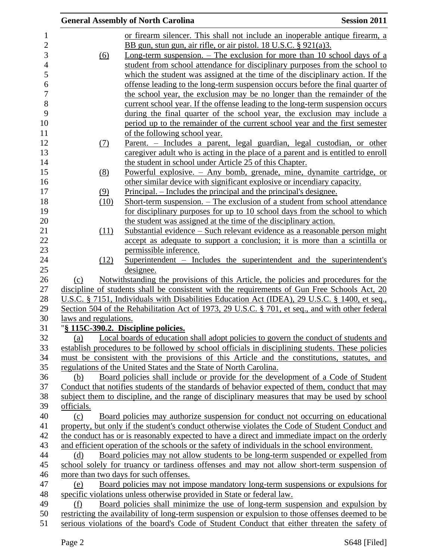|                       | <b>General Assembly of North Carolina</b>                                                        | <b>Session 2011</b> |
|-----------------------|--------------------------------------------------------------------------------------------------|---------------------|
|                       | or firearm silencer. This shall not include an inoperable antique firearm, a                     |                     |
|                       | BB gun, stun gun, air rifle, or air pistol. 18 U.S.C. $\S$ 921(a)3.                              |                     |
| (6)                   | Long-term suspension. $-$ The exclusion for more than 10 school days of a                        |                     |
|                       | student from school attendance for disciplinary purposes from the school to                      |                     |
|                       | which the student was assigned at the time of the disciplinary action. If the                    |                     |
|                       | offense leading to the long-term suspension occurs before the final quarter of                   |                     |
|                       | the school year, the exclusion may be no longer than the remainder of the                        |                     |
|                       | current school year. If the offense leading to the long-term suspension occurs                   |                     |
|                       | during the final quarter of the school year, the exclusion may include a                         |                     |
|                       | period up to the remainder of the current school year and the first semester                     |                     |
|                       | of the following school year.                                                                    |                     |
| (7)                   | Parent. – Includes a parent, legal guardian, legal custodian, or other                           |                     |
|                       | caregiver adult who is acting in the place of a parent and is entitled to enroll                 |                     |
|                       | the student in school under Article 25 of this Chapter.                                          |                     |
| (8)                   | Powerful explosive. - Any bomb, grenade, mine, dynamite cartridge, or                            |                     |
|                       | other similar device with significant explosive or incendiary capacity.                          |                     |
| (9)                   | <u>Principal. – Includes the principal and the principal's designee.</u>                         |                     |
| (10)                  | Short-term suspension. – The exclusion of a student from school attendance                       |                     |
|                       | for disciplinary purposes for up to 10 school days from the school to which                      |                     |
|                       | the student was assigned at the time of the disciplinary action.                                 |                     |
| (11)                  | Substantial evidence – Such relevant evidence as a reasonable person might                       |                     |
|                       | accept as adequate to support a conclusion; it is more than a scintilla or                       |                     |
|                       | permissible inference.                                                                           |                     |
| (12)                  | Superintendent – Includes the superintendent and the superintendent's                            |                     |
|                       | designee.                                                                                        |                     |
| (c)                   | Notwithstanding the provisions of this Article, the policies and procedures for the              |                     |
|                       | discipline of students shall be consistent with the requirements of Gun Free Schools Act, 20     |                     |
|                       | U.S.C. § 7151, Individuals with Disabilities Education Act (IDEA), 29 U.S.C. § 1400, et seq.,    |                     |
|                       | Section 504 of the Rehabilitation Act of 1973, 29 U.S.C. § 701, et seq., and with other federal  |                     |
| laws and regulations. |                                                                                                  |                     |
|                       | "§ 115C-390.2. Discipline policies.                                                              |                     |
| (a)                   | Local boards of education shall adopt policies to govern the conduct of students and             |                     |
|                       | establish procedures to be followed by school officials in disciplining students. These policies |                     |
|                       | must be consistent with the provisions of this Article and the constitutions, statutes, and      |                     |
|                       | regulations of the United States and the State of North Carolina.                                |                     |
| (b)                   | Board policies shall include or provide for the development of a Code of Student                 |                     |
|                       | Conduct that notifies students of the standards of behavior expected of them, conduct that may   |                     |
|                       | subject them to discipline, and the range of disciplinary measures that may be used by school    |                     |
| officials.            |                                                                                                  |                     |
| (c)                   | Board policies may authorize suspension for conduct not occurring on educational                 |                     |
|                       | property, but only if the student's conduct otherwise violates the Code of Student Conduct and   |                     |
|                       | the conduct has or is reasonably expected to have a direct and immediate impact on the orderly   |                     |
|                       | and efficient operation of the schools or the safety of individuals in the school environment.   |                     |
| (d)                   | Board policies may not allow students to be long-term suspended or expelled from                 |                     |
|                       | school solely for truancy or tardiness offenses and may not allow short-term suspension of       |                     |
|                       | more than two days for such offenses.                                                            |                     |
| (e)                   | Board policies may not impose mandatory long-term suspensions or expulsions for                  |                     |
|                       | specific violations unless otherwise provided in State or federal law.                           |                     |
| (f)                   | <u>Board policies shall minimize the use of long-term suspension and expulsion by</u>            |                     |
|                       | restricting the availability of long-term suspension or expulsion to those offenses deemed to be |                     |
|                       | serious violations of the board's Code of Student Conduct that either threaten the safety of     |                     |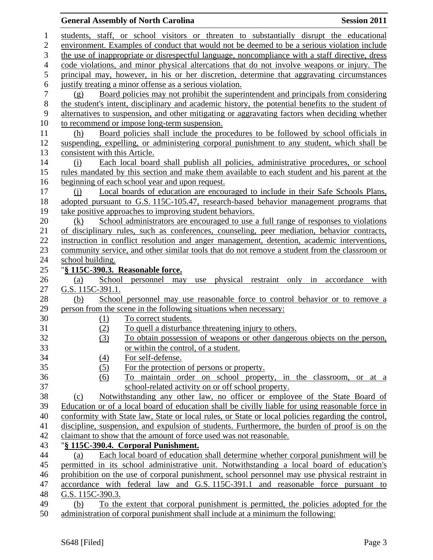#### **General Assembly of North Carolina Session 2011**

 students, staff, or school visitors or threaten to substantially disrupt the educational environment. Examples of conduct that would not be deemed to be a serious violation include the use of inappropriate or disrespectful language, noncompliance with a staff directive, dress code violations, and minor physical altercations that do not involve weapons or injury. The principal may, however, in his or her discretion, determine that aggravating circumstances justify treating a minor offense as a serious violation. (g) Board policies may not prohibit the superintendent and principals from considering the student's intent, disciplinary and academic history, the potential benefits to the student of alternatives to suspension, and other mitigating or aggravating factors when deciding whether 10 to recommend or impose long-term suspension. (h) Board policies shall include the procedures to be followed by school officials in suspending, expelling, or administering corporal punishment to any student, which shall be consistent with this Article. (i) Each local board shall publish all policies, administrative procedures, or school rules mandated by this section and make them available to each student and his parent at the beginning of each school year and upon request. (j) Local boards of education are encouraged to include in their Safe Schools Plans, adopted pursuant to G.S. 115C-105.47, research-based behavior management programs that 19 take positive approaches to improving student behaviors. 20 (k) School administrators are encouraged to use a full range of responses to violations of disciplinary rules, such as conferences, counseling, peer mediation, behavior contracts, instruction in conflict resolution and anger management, detention, academic interventions, community service, and other similar tools that do not remove a student from the classroom or school building. "**§ 115C-390.3. Reasonable force.** (a) School personnel may use physical restraint only in accordance with G.S. 115C-391.1. (b) School personnel may use reasonable force to control behavior or to remove a person from the scene in the following situations when necessary: 30 (1) To correct students.<br>31 (2) To quell a disturbane (2) To quell a disturbance threatening injury to others. (3) To obtain possession of weapons or other dangerous objects on the person, or within the control, of a student. (4) For self-defense. (5) For the protection of persons or property. (6) To maintain order on school property, in the classroom, or at a school-related activity on or off school property. (c) Notwithstanding any other law, no officer or employee of the State Board of Education or of a local board of education shall be civilly liable for using reasonable force in conformity with State law, State or local rules, or State or local policies regarding the control, discipline, suspension, and expulsion of students. Furthermore, the burden of proof is on the claimant to show that the amount of force used was not reasonable. "**§ 115C-390.4. Corporal Punishment.** (a) Each local board of education shall determine whether corporal punishment will be permitted in its school administrative unit. Notwithstanding a local board of education's prohibition on the use of corporal punishment, school personnel may use physical restraint in accordance with federal law and G.S. 115C-391.1 and reasonable force pursuant to G.S. 115C-390.3. (b) To the extent that corporal punishment is permitted, the policies adopted for the administration of corporal punishment shall include at a minimum the following: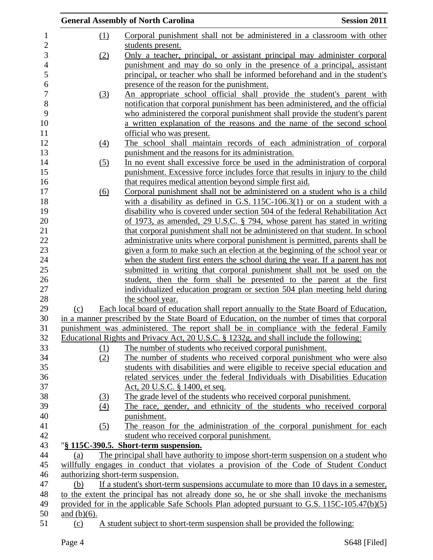|                |                  | <b>General Assembly of North Carolina</b>                                                     | <b>Session 2011</b> |
|----------------|------------------|-----------------------------------------------------------------------------------------------|---------------------|
|                | <u>(1)</u>       | Corporal punishment shall not be administered in a classroom with other                       |                     |
|                |                  | students present.                                                                             |                     |
|                | (2)              | Only a teacher, principal, or assistant principal may administer corporal                     |                     |
|                |                  | punishment and may do so only in the presence of a principal, assistant                       |                     |
|                |                  | principal, or teacher who shall be informed beforehand and in the student's                   |                     |
|                |                  | presence of the reason for the punishment.                                                    |                     |
|                | <u>(3)</u>       | An appropriate school official shall provide the student's parent with                        |                     |
|                |                  | notification that corporal punishment has been administered, and the official                 |                     |
|                |                  | who administered the corporal punishment shall provide the student's parent                   |                     |
|                |                  | a written explanation of the reasons and the name of the second school                        |                     |
|                |                  | official who was present.                                                                     |                     |
|                | $\left(4\right)$ | The school shall maintain records of each administration of corporal                          |                     |
|                |                  | punishment and the reasons for its administration.                                            |                     |
|                |                  | In no event shall excessive force be used in the administration of corporal                   |                     |
|                | (5)              |                                                                                               |                     |
|                |                  | punishment. Excessive force includes force that results in injury to the child                |                     |
|                |                  | that requires medical attention beyond simple first aid.                                      |                     |
|                | (6)              | Corporal punishment shall not be administered on a student who is a child                     |                     |
|                |                  | with a disability as defined in G.S. $115C-106.3(1)$ or on a student with a                   |                     |
|                |                  | disability who is covered under section 504 of the federal Rehabilitation Act                 |                     |
|                |                  | of 1973, as amended, 29 U.S.C. § 794, whose parent has stated in writing                      |                     |
|                |                  | that corporal punishment shall not be administered on that student. In school                 |                     |
|                |                  | administrative units where corporal punishment is permitted, parents shall be                 |                     |
|                |                  | given a form to make such an election at the beginning of the school year or                  |                     |
|                |                  | when the student first enters the school during the year. If a parent has not                 |                     |
|                |                  | submitted in writing that corporal punishment shall not be used on the                        |                     |
|                |                  | student, then the form shall be presented to the parent at the first                          |                     |
|                |                  | individualized education program or section 504 plan meeting held during                      |                     |
|                |                  | the school year.                                                                              |                     |
| (c)            |                  | Each local board of education shall report annually to the State Board of Education,          |                     |
|                |                  | in a manner prescribed by the State Board of Education, on the number of times that corporal  |                     |
|                |                  | punishment was administered. The report shall be in compliance with the federal Family        |                     |
|                |                  | Educational Rights and Privacy Act, 20 U.S.C. § 1232g, and shall include the following:       |                     |
|                | (1)              | The number of students who received corporal punishment.                                      |                     |
|                | (2)              | The number of students who received corporal punishment who were also                         |                     |
|                |                  | students with disabilities and were eligible to receive special education and                 |                     |
|                |                  | related services under the federal Individuals with Disabilities Education                    |                     |
|                |                  | Act, 20 U.S.C. § 1400, et seq.                                                                |                     |
|                | <u>(3)</u>       | The grade level of the students who received corporal punishment.                             |                     |
|                | (4)              | The race, gender, and ethnicity of the students who received corporal                         |                     |
|                |                  | punishment.                                                                                   |                     |
|                | (5)              | The reason for the administration of the corporal punishment for each                         |                     |
|                |                  | student who received corporal punishment.                                                     |                     |
|                |                  | "§ 115C-390.5. Short-term suspension.                                                         |                     |
| (a)            |                  | The principal shall have authority to impose short-term suspension on a student who           |                     |
|                |                  | willfully engages in conduct that violates a provision of the Code of Student Conduct         |                     |
|                |                  | authorizing short-term suspension.                                                            |                     |
| (b)            |                  | If a student's short-term suspensions accumulate to more than 10 days in a semester,          |                     |
|                |                  | to the extent the principal has not already done so, he or she shall invoke the mechanisms    |                     |
|                |                  | provided for in the applicable Safe Schools Plan adopted pursuant to G.S. $115C-105.47(b)(5)$ |                     |
| and $(b)(6)$ . |                  |                                                                                               |                     |
| (c)            |                  | A student subject to short-term suspension shall be provided the following:                   |                     |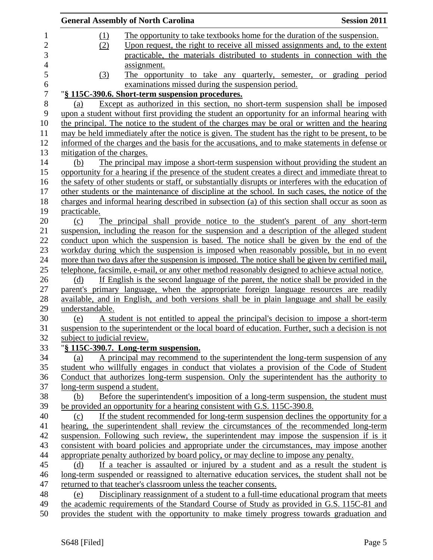| The opportunity to take textbooks home for the duration of the suspension.<br>(1)<br>Upon request, the right to receive all missed assignments and, to the extent<br>(2) |  |
|--------------------------------------------------------------------------------------------------------------------------------------------------------------------------|--|
|                                                                                                                                                                          |  |
|                                                                                                                                                                          |  |
| practicable, the materials distributed to students in connection with the                                                                                                |  |
| assignment.                                                                                                                                                              |  |
| The opportunity to take any quarterly, semester, or grading period<br>$\left(3\right)$                                                                                   |  |
| examinations missed during the suspension period.                                                                                                                        |  |
| "§ 115C-390.6. Short-term suspension procedures.                                                                                                                         |  |
| Except as authorized in this section, no short-term suspension shall be imposed<br>(a)                                                                                   |  |
| upon a student without first providing the student an opportunity for an informal hearing with                                                                           |  |
| the principal. The notice to the student of the charges may be oral or written and the hearing                                                                           |  |
| may be held immediately after the notice is given. The student has the right to be present, to be                                                                        |  |
| informed of the charges and the basis for the accusations, and to make statements in defense or                                                                          |  |
| mitigation of the charges.                                                                                                                                               |  |
| The principal may impose a short-term suspension without providing the student an<br>(b)                                                                                 |  |
| opportunity for a hearing if the presence of the student creates a direct and immediate threat to                                                                        |  |
| the safety of other students or staff, or substantially disrupts or interferes with the education of                                                                     |  |
| other students or the maintenance of discipline at the school. In such cases, the notice of the                                                                          |  |
| charges and informal hearing described in subsection (a) of this section shall occur as soon as                                                                          |  |
| practicable.                                                                                                                                                             |  |
| The principal shall provide notice to the student's parent of any short-term<br>(c)                                                                                      |  |
| suspension, including the reason for the suspension and a description of the alleged student                                                                             |  |
| conduct upon which the suspension is based. The notice shall be given by the end of the                                                                                  |  |
| workday during which the suspension is imposed when reasonably possible, but in no event                                                                                 |  |
| more than two days after the suspension is imposed. The notice shall be given by certified mail,                                                                         |  |
| telephone, facsimile, e-mail, or any other method reasonably designed to achieve actual notice.                                                                          |  |
| If English is the second language of the parent, the notice shall be provided in the<br>(d)                                                                              |  |
| parent's primary language, when the appropriate foreign language resources are readily                                                                                   |  |
| available, and in English, and both versions shall be in plain language and shall be easily                                                                              |  |
| understandable.                                                                                                                                                          |  |
| A student is not entitled to appeal the principal's decision to impose a short-term<br>(e)                                                                               |  |
| suspension to the superintendent or the local board of education. Further, such a decision is not                                                                        |  |
| subject to judicial review.                                                                                                                                              |  |
| "§ 115C-390.7. Long-term suspension.                                                                                                                                     |  |
| A principal may recommend to the superintendent the long-term suspension of any<br>(a)                                                                                   |  |
| student who willfully engages in conduct that violates a provision of the Code of Student                                                                                |  |
| Conduct that authorizes long-term suspension. Only the superintendent has the authority to                                                                               |  |
| long-term suspend a student.                                                                                                                                             |  |
| (b)<br>Before the superintendent's imposition of a long-term suspension, the student must                                                                                |  |
| be provided an opportunity for a hearing consistent with G.S. 115C-390.8.                                                                                                |  |
| If the student recommended for long-term suspension declines the opportunity for a<br>(c)                                                                                |  |
| hearing, the superintendent shall review the circumstances of the recommended long-term                                                                                  |  |
| suspension. Following such review, the superintendent may impose the suspension if is it                                                                                 |  |
| consistent with board policies and appropriate under the circumstances, may impose another                                                                               |  |
| appropriate penalty authorized by board policy, or may decline to impose any penalty.                                                                                    |  |
| If a teacher is assaulted or injured by a student and as a result the student is<br>(d)                                                                                  |  |
| long-term suspended or reassigned to alternative education services, the student shall not be                                                                            |  |
| returned to that teacher's classroom unless the teacher consents.                                                                                                        |  |
| Disciplinary reassignment of a student to a full-time educational program that meets<br>(e)                                                                              |  |
|                                                                                                                                                                          |  |
| the academic requirements of the Standard Course of Study as provided in G.S. 115C-81 and                                                                                |  |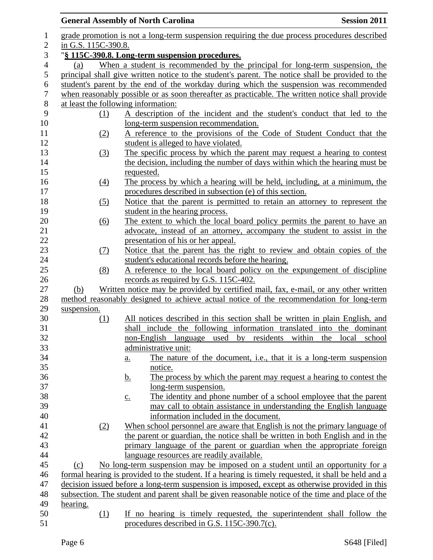# General Assembly of North Carolina **Session 2011**

| $\mathbf{1}$     |                     | grade promotion is not a long-term suspension requiring the due process procedures described        |
|------------------|---------------------|-----------------------------------------------------------------------------------------------------|
| $\mathbf{2}$     | in G.S. 115C-390.8. |                                                                                                     |
| 3                |                     | "§ 115C-390.8. Long-term suspension procedures.                                                     |
| $\overline{4}$   | (a)                 | When a student is recommended by the principal for long-term suspension, the                        |
| 5                |                     | principal shall give written notice to the student's parent. The notice shall be provided to the    |
| 6                |                     | student's parent by the end of the workday during which the suspension was recommended              |
| $\boldsymbol{7}$ |                     | when reasonably possible or as soon thereafter as practicable. The written notice shall provide     |
| $\, 8$           |                     | at least the following information:                                                                 |
| 9                | $\Omega$            | A description of the incident and the student's conduct that led to the                             |
| 10               |                     | long-term suspension recommendation.                                                                |
| 11               | (2)                 | A reference to the provisions of the Code of Student Conduct that the                               |
| 12               |                     | student is alleged to have violated.                                                                |
| 13               | (3)                 | The specific process by which the parent may request a hearing to contest                           |
| 14               |                     | the decision, including the number of days within which the hearing must be                         |
| 15               |                     | requested.                                                                                          |
| 16               | (4)                 | The process by which a hearing will be held, including, at a minimum, the                           |
| 17               |                     | procedures described in subsection (e) of this section.                                             |
| 18               | (5)                 | Notice that the parent is permitted to retain an attorney to represent the                          |
| 19               |                     | student in the hearing process.                                                                     |
| 20               | $\overline{(6)}$    | The extent to which the local board policy permits the parent to have an                            |
| 21               |                     | advocate, instead of an attorney, accompany the student to assist in the                            |
| 22               |                     | presentation of his or her appeal.                                                                  |
| 23               | (7)                 | Notice that the parent has the right to review and obtain copies of the                             |
| 24               |                     | student's educational records before the hearing.                                                   |
| 25               | (8)                 | A reference to the local board policy on the expungement of discipline                              |
| 26               |                     | records as required by G.S. 115C-402.                                                               |
| $27\,$           | (b)                 | Written notice may be provided by certified mail, fax, e-mail, or any other written                 |
| 28               |                     | method reasonably designed to achieve actual notice of the recommendation for long-term             |
| 29               | suspension.         |                                                                                                     |
| 30               | (1)                 | All notices described in this section shall be written in plain English, and                        |
| 31               |                     | shall include the following information translated into the dominant                                |
| 32               |                     | non-English language<br>used<br>by residents<br>within<br>the<br>local<br>school                    |
| 33               |                     | administrative unit:                                                                                |
| 34               |                     | The nature of the document, i.e., that it is a long-term suspension<br><u>a.</u>                    |
| 35               |                     | notice.                                                                                             |
| 36               |                     | The process by which the parent may request a hearing to contest the<br><u>b.</u>                   |
| 37               |                     | long-term suspension.                                                                               |
| 38               |                     | The identity and phone number of a school employee that the parent<br>$\underline{c}$ .             |
| 39               |                     | may call to obtain assistance in understanding the English language                                 |
| 40               |                     | information included in the document.                                                               |
| 41               | (2)                 | When school personnel are aware that English is not the primary language of                         |
| 42               |                     | the parent or guardian, the notice shall be written in both English and in the                      |
| 43               |                     | primary language of the parent or guardian when the appropriate foreign                             |
| 44               |                     | language resources are readily available.                                                           |
| 45               | (c)                 | No long-term suspension may be imposed on a student until an opportunity for a                      |
| 46               |                     | formal hearing is provided to the student. If a hearing is timely requested, it shall be held and a |
| 47               |                     | decision issued before a long-term suspension is imposed, except as otherwise provided in this      |
| 48               |                     | subsection. The student and parent shall be given reasonable notice of the time and place of the    |
| 49               | hearing.            |                                                                                                     |
| 50               | (1)                 | If no hearing is timely requested, the superintendent shall follow the                              |
| 51               |                     | procedures described in G.S. $115C-390.7(c)$ .                                                      |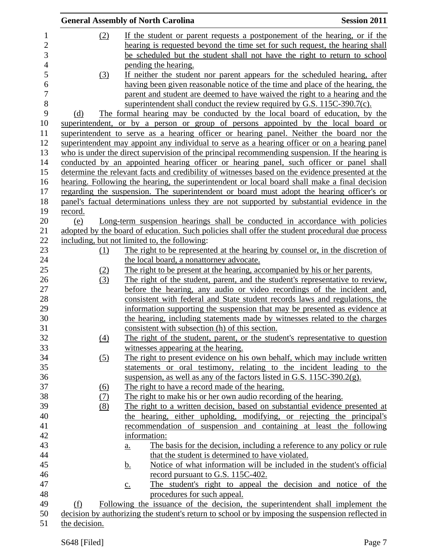|                | <b>General Assembly of North Carolina</b> | <b>Session 2011</b> |                                                                                                                                                                                             |  |
|----------------|-------------------------------------------|---------------------|---------------------------------------------------------------------------------------------------------------------------------------------------------------------------------------------|--|
| 1              |                                           | (2)                 | If the student or parent requests a postponement of the hearing, or if the                                                                                                                  |  |
| $\overline{c}$ |                                           |                     | hearing is requested beyond the time set for such request, the hearing shall                                                                                                                |  |
| 3              |                                           |                     | be scheduled but the student shall not have the right to return to school                                                                                                                   |  |
| $\overline{4}$ |                                           |                     | pending the hearing.                                                                                                                                                                        |  |
| 5              |                                           | (3)                 | If neither the student nor parent appears for the scheduled hearing, after                                                                                                                  |  |
| 6              |                                           |                     | having been given reasonable notice of the time and place of the hearing, the                                                                                                               |  |
| 7              |                                           |                     | parent and student are deemed to have waived the right to a hearing and the                                                                                                                 |  |
| 8              |                                           |                     | superintendent shall conduct the review required by G.S. 115C-390.7(c).                                                                                                                     |  |
| 9              | (d)                                       |                     | The formal hearing may be conducted by the local board of education, by the                                                                                                                 |  |
| 10             |                                           |                     | superintendent, or by a person or group of persons appointed by the local board or                                                                                                          |  |
| 11             |                                           |                     | superintendent to serve as a hearing officer or hearing panel. Neither the board nor the                                                                                                    |  |
| 12             |                                           |                     | superintendent may appoint any individual to serve as a hearing officer or on a hearing panel                                                                                               |  |
| 13             |                                           |                     | who is under the direct supervision of the principal recommending suspension. If the hearing is                                                                                             |  |
| 14             |                                           |                     |                                                                                                                                                                                             |  |
| 15             |                                           |                     | conducted by an appointed hearing officer or hearing panel, such officer or panel shall<br>determine the relevant facts and credibility of witnesses based on the evidence presented at the |  |
|                |                                           |                     |                                                                                                                                                                                             |  |
| 16<br>17       |                                           |                     | hearing. Following the hearing, the superintendent or local board shall make a final decision<br>regarding the suspension. The superintendent or board must adopt the hearing officer's or  |  |
|                |                                           |                     |                                                                                                                                                                                             |  |
| 18             |                                           |                     | panel's factual determinations unless they are not supported by substantial evidence in the                                                                                                 |  |
| 19             | <u>record.</u>                            |                     |                                                                                                                                                                                             |  |
| 20             | (e)                                       |                     | Long-term suspension hearings shall be conducted in accordance with policies                                                                                                                |  |
| 21             |                                           |                     | adopted by the board of education. Such policies shall offer the student procedural due process                                                                                             |  |
| 22             |                                           |                     | including, but not limited to, the following:                                                                                                                                               |  |
| 23             |                                           | (1)                 | The right to be represented at the hearing by counsel or, in the discretion of                                                                                                              |  |
| 24             |                                           |                     | the local board, a nonattorney advocate.                                                                                                                                                    |  |
| 25             |                                           | (2)                 | The right to be present at the hearing, accompanied by his or her parents.                                                                                                                  |  |
| 26             |                                           | (3)                 | The right of the student, parent, and the student's representative to review,                                                                                                               |  |
| 27             |                                           |                     | before the hearing, any audio or video recordings of the incident and,                                                                                                                      |  |
| 28             |                                           |                     | consistent with federal and State student records laws and regulations, the                                                                                                                 |  |
| 29             |                                           |                     | information supporting the suspension that may be presented as evidence at                                                                                                                  |  |
| 30             |                                           |                     | the hearing, including statements made by witnesses related to the charges                                                                                                                  |  |
| 31             |                                           |                     | consistent with subsection (h) of this section.                                                                                                                                             |  |
| 32             |                                           | (4)                 | The right of the student, parent, or the student's representative to question                                                                                                               |  |
| 33             |                                           |                     | witnesses appearing at the hearing.                                                                                                                                                         |  |
| 34             |                                           | (5)                 | The right to present evidence on his own behalf, which may include written                                                                                                                  |  |
| 35             |                                           |                     | statements or oral testimony, relating to the incident leading to the                                                                                                                       |  |
| 36             |                                           |                     | suspension, as well as any of the factors listed in G.S. $115C-390.2(g)$ .                                                                                                                  |  |
| 37             |                                           | <u>(6)</u>          | The right to have a record made of the hearing.                                                                                                                                             |  |
| 38             |                                           | (7)                 | The right to make his or her own audio recording of the hearing.                                                                                                                            |  |
| 39             |                                           | (8)                 | The right to a written decision, based on substantial evidence presented at                                                                                                                 |  |
| 40             |                                           |                     | the hearing, either upholding, modifying, or rejecting the principal's                                                                                                                      |  |
| 41             |                                           |                     | recommendation of suspension and containing at least the following                                                                                                                          |  |
| 42             |                                           |                     | information:                                                                                                                                                                                |  |
| 43             |                                           |                     | The basis for the decision, including a reference to any policy or rule<br>a.                                                                                                               |  |
| 44             |                                           |                     | that the student is determined to have violated.                                                                                                                                            |  |
| 45             |                                           |                     | Notice of what information will be included in the student's official<br><u>b.</u>                                                                                                          |  |
| 46             |                                           |                     | record pursuant to G.S. 115C-402.                                                                                                                                                           |  |
| 47             |                                           |                     | The student's right to appeal the decision and notice of the<br>$\underline{c}$ .                                                                                                           |  |
| 48             |                                           |                     | procedures for such appeal.                                                                                                                                                                 |  |
| 49             | (f)                                       |                     | Following the issuance of the decision, the superintendent shall implement the                                                                                                              |  |
| 50             |                                           |                     | decision by authorizing the student's return to school or by imposing the suspension reflected in                                                                                           |  |
| 51             | the decision.                             |                     |                                                                                                                                                                                             |  |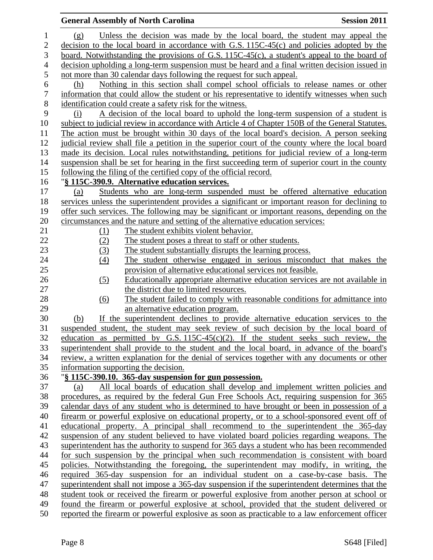|                  |            | <b>General Assembly of North Carolina</b>                                                                                                                                             | <b>Session 2011</b> |
|------------------|------------|---------------------------------------------------------------------------------------------------------------------------------------------------------------------------------------|---------------------|
| $\mathbf 1$      | (g)        | Unless the decision was made by the local board, the student may appeal the                                                                                                           |                     |
| 2                |            | decision to the local board in accordance with G.S. $115C-45(c)$ and policies adopted by the                                                                                          |                     |
| 3                |            | board. Notwithstanding the provisions of G.S. $115C-45(c)$ , a student's appeal to the board of                                                                                       |                     |
| $\overline{4}$   |            | decision upholding a long-term suspension must be heard and a final written decision issued in                                                                                        |                     |
| 5                |            | not more than 30 calendar days following the request for such appeal.                                                                                                                 |                     |
| 6                | (h)        | Nothing in this section shall compel school officials to release names or other                                                                                                       |                     |
| $\boldsymbol{7}$ |            | information that could allow the student or his representative to identify witnesses when such                                                                                        |                     |
| $8\,$            |            | identification could create a safety risk for the witness.                                                                                                                            |                     |
| 9                | (i)        | A decision of the local board to uphold the long-term suspension of a student is                                                                                                      |                     |
| 10               |            | subject to judicial review in accordance with Article 4 of Chapter 150B of the General Statutes.                                                                                      |                     |
| 11               |            | The action must be brought within 30 days of the local board's decision. A person seeking                                                                                             |                     |
| 12               |            | judicial review shall file a petition in the superior court of the county where the local board                                                                                       |                     |
| 13               |            | made its decision. Local rules notwithstanding, petitions for judicial review of a long-term                                                                                          |                     |
| 14<br>15         |            | suspension shall be set for hearing in the first succeeding term of superior court in the county                                                                                      |                     |
| 16               |            | following the filing of the certified copy of the official record.                                                                                                                    |                     |
|                  |            | "§ 115C-390.9. Alternative education services.                                                                                                                                        |                     |
| 18               | (a)        | Students who are long-term suspended must be offered alternative education<br>services unless the superintendent provides a significant or important reason for declining to          |                     |
|                  |            | offer such services. The following may be significant or important reasons, depending on the                                                                                          |                     |
|                  |            | circumstances and the nature and setting of the alternative education services:                                                                                                       |                     |
|                  | (1)        | The student exhibits violent behavior.                                                                                                                                                |                     |
|                  | (2)        | The student poses a threat to staff or other students.                                                                                                                                |                     |
|                  | (3)        | The student substantially disrupts the learning process.                                                                                                                              |                     |
|                  | (4)        | The student otherwise engaged in serious misconduct that makes the                                                                                                                    |                     |
|                  |            | provision of alternative educational services not feasible.                                                                                                                           |                     |
|                  | (5)        | Educationally appropriate alternative education services are not available in                                                                                                         |                     |
|                  |            | the district due to limited resources.                                                                                                                                                |                     |
|                  | <u>(6)</u> | The student failed to comply with reasonable conditions for admittance into                                                                                                           |                     |
|                  |            | an alternative education program.                                                                                                                                                     |                     |
|                  | (b)        | If the superintendent declines to provide alternative education services to the                                                                                                       |                     |
|                  |            | suspended student, the student may seek review of such decision by the local board of                                                                                                 |                     |
|                  |            | education as permitted by G.S. $115C-45(c)(2)$ . If the student seeks such review, the                                                                                                |                     |
|                  |            | superintendent shall provide to the student and the local board, in advance of the board's                                                                                            |                     |
|                  |            | review, a written explanation for the denial of services together with any documents or other                                                                                         |                     |
|                  |            | information supporting the decision.                                                                                                                                                  |                     |
|                  |            | "§ 115C-390.10. 365-day suspension for gun possession.                                                                                                                                |                     |
|                  | (a)        | All local boards of education shall develop and implement written policies and                                                                                                        |                     |
|                  |            | procedures, as required by the federal Gun Free Schools Act, requiring suspension for 365                                                                                             |                     |
|                  |            | calendar days of any student who is determined to have brought or been in possession of a                                                                                             |                     |
|                  |            | firearm or powerful explosive on educational property, or to a school-sponsored event off of                                                                                          |                     |
|                  |            | educational property. A principal shall recommend to the superintendent the 365-day                                                                                                   |                     |
|                  |            | suspension of any student believed to have violated board policies regarding weapons. The                                                                                             |                     |
|                  |            | superintendent has the authority to suspend for 365 days a student who has been recommended<br>for such suspension by the principal when such recommendation is consistent with board |                     |
|                  |            | policies. Notwithstanding the foregoing, the superintendent may modify, in writing, the                                                                                               |                     |
|                  |            | required 365-day suspension for an individual student on a case-by-case basis. The                                                                                                    |                     |
|                  |            | superintendent shall not impose a 365-day suspension if the superintendent determines that the                                                                                        |                     |
|                  |            | student took or received the firearm or powerful explosive from another person at school or                                                                                           |                     |
|                  |            | found the firearm or powerful explosive at school, provided that the student delivered or                                                                                             |                     |
|                  |            | reported the firearm or powerful explosive as soon as practicable to a law enforcement officer                                                                                        |                     |
| 50               |            |                                                                                                                                                                                       |                     |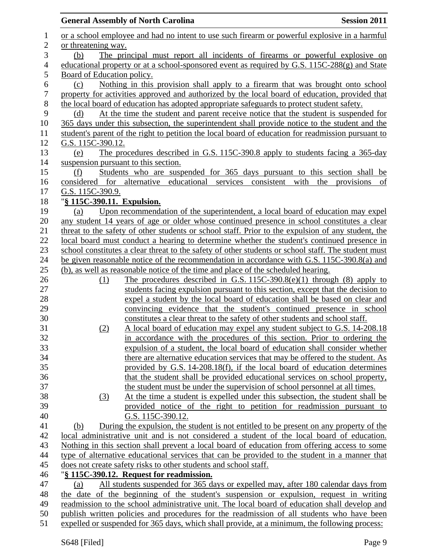|                  |                            | <b>General Assembly of North Carolina</b>                                                                                                                  | <b>Session 2011</b> |
|------------------|----------------------------|------------------------------------------------------------------------------------------------------------------------------------------------------------|---------------------|
| $\mathbf 1$      |                            | or a school employee and had no intent to use such firearm or powerful explosive in a harmful                                                              |                     |
| $\overline{2}$   | or threatening way.        |                                                                                                                                                            |                     |
| 3                | (b)                        | The principal must report all incidents of firearms or powerful explosive on                                                                               |                     |
| $\overline{4}$   |                            | educational property or at a school-sponsored event as required by G.S. 115C-288(g) and State                                                              |                     |
| 5                | Board of Education policy. |                                                                                                                                                            |                     |
| 6                | (c)                        | Nothing in this provision shall apply to a firearm that was brought onto school                                                                            |                     |
| $\boldsymbol{7}$ |                            | property for activities approved and authorized by the local board of education, provided that                                                             |                     |
| 8                |                            | the local board of education has adopted appropriate safeguards to protect student safety.                                                                 |                     |
| 9                | (d)                        | At the time the student and parent receive notice that the student is suspended for                                                                        |                     |
| 10               |                            | 365 days under this subsection, the superintendent shall provide notice to the student and the                                                             |                     |
| 11               |                            | student's parent of the right to petition the local board of education for readmission pursuant to                                                         |                     |
| 12               | G.S. 115C-390.12.          |                                                                                                                                                            |                     |
| 13               | (e)                        | The procedures described in G.S. 115C-390.8 apply to students facing a 365-day                                                                             |                     |
| 14               |                            | suspension pursuant to this section.                                                                                                                       |                     |
| 15               | (f)                        | Students who are suspended for 365 days pursuant to this section shall be                                                                                  |                     |
| 16               |                            | considered for alternative educational services consistent with the provisions                                                                             | of                  |
| 17               | G.S. 115C-390.9.           |                                                                                                                                                            |                     |
| 18               | "§ 115C-390.11. Expulsion. |                                                                                                                                                            |                     |
| 19               | (a)                        | Upon recommendation of the superintendent, a local board of education may expel                                                                            |                     |
| 20               |                            | any student 14 years of age or older whose continued presence in school constitutes a clear                                                                |                     |
| 21               |                            | threat to the safety of other students or school staff. Prior to the expulsion of any student, the                                                         |                     |
| 22               |                            | local board must conduct a hearing to determine whether the student's continued presence in                                                                |                     |
| 23               |                            | school constitutes a clear threat to the safety of other students or school staff. The student must                                                        |                     |
| 24               |                            | be given reasonable notice of the recommendation in accordance with G.S. 115C-390.8(a) and                                                                 |                     |
| 25               |                            | (b), as well as reasonable notice of the time and place of the scheduled hearing.                                                                          |                     |
| 26               | (1)                        | The procedures described in G.S. $115C-390.8(e)(1)$ through (8) apply to                                                                                   |                     |
| 27               |                            | students facing expulsion pursuant to this section, except that the decision to                                                                            |                     |
| 28               |                            | expel a student by the local board of education shall be based on clear and                                                                                |                     |
| 29               |                            | convincing evidence that the student's continued presence in school                                                                                        |                     |
| 30               |                            | constitutes a clear threat to the safety of other students and school staff.                                                                               |                     |
| 31               | (2)                        | A local board of education may expel any student subject to G.S. 14-208.18                                                                                 |                     |
| 32               |                            | in accordance with the procedures of this section. Prior to ordering the                                                                                   |                     |
| 33               |                            | expulsion of a student, the local board of education shall consider whether                                                                                |                     |
| 34               |                            | there are alternative education services that may be offered to the student. As                                                                            |                     |
| 35               |                            | provided by G.S. 14-208.18(f), if the local board of education determines                                                                                  |                     |
| 36<br>37         |                            | that the student shall be provided educational services on school property,<br>the student must be under the supervision of school personnel at all times. |                     |
| 38               |                            | At the time a student is expelled under this subsection, the student shall be                                                                              |                     |
| 39               | (3)                        | provided notice of the right to petition for readmission pursuant to                                                                                       |                     |
| 40               |                            | G.S. 115C-390.12.                                                                                                                                          |                     |
| 41               | (b)                        | During the expulsion, the student is not entitled to be present on any property of the                                                                     |                     |
| 42               |                            | local administrative unit and is not considered a student of the local board of education.                                                                 |                     |
| 43               |                            | Nothing in this section shall prevent a local board of education from offering access to some                                                              |                     |
| 44               |                            | type of alternative educational services that can be provided to the student in a manner that                                                              |                     |
| 45               |                            | does not create safety risks to other students and school staff.                                                                                           |                     |
| 46               |                            | "§ 115C-390.12. Request for readmission.                                                                                                                   |                     |
| 47               | (a)                        | All students suspended for 365 days or expelled may, after 180 calendar days from                                                                          |                     |
| 48               |                            | the date of the beginning of the student's suspension or expulsion, request in writing                                                                     |                     |
| 49               |                            | readmission to the school administrative unit. The local board of education shall develop and                                                              |                     |
| 50               |                            | publish written policies and procedures for the readmission of all students who have been                                                                  |                     |
| 51               |                            | expelled or suspended for 365 days, which shall provide, at a minimum, the following process:                                                              |                     |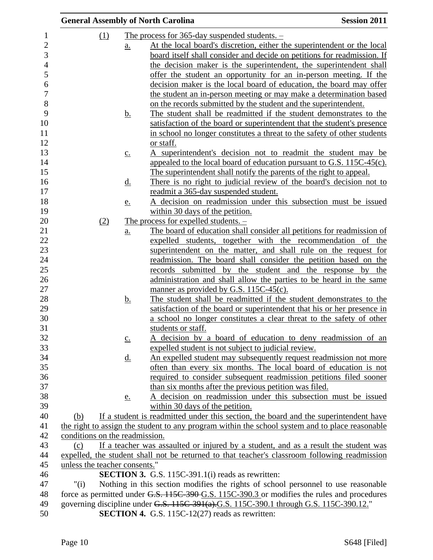|                | <b>General Assembly of North Carolina</b> |                   |                                                                                                 | <b>Session 2011</b> |
|----------------|-------------------------------------------|-------------------|-------------------------------------------------------------------------------------------------|---------------------|
| $\mathbf{1}$   | (1)                                       |                   | The process for $365$ -day suspended students. $-$                                              |                     |
| $\overline{2}$ |                                           | <u>a.</u>         | At the local board's discretion, either the superintendent or the local                         |                     |
| 3              |                                           |                   | board itself shall consider and decide on petitions for readmission. If                         |                     |
| $\overline{4}$ |                                           |                   | the decision maker is the superintendent, the superintendent shall                              |                     |
| 5              |                                           |                   | offer the student an opportunity for an in-person meeting. If the                               |                     |
| 6              |                                           |                   |                                                                                                 |                     |
|                |                                           |                   | decision maker is the local board of education, the board may offer                             |                     |
|                |                                           |                   | the student an in-person meeting or may make a determination based                              |                     |
|                |                                           |                   | on the records submitted by the student and the superintendent.                                 |                     |
|                |                                           | <u>b.</u>         | The student shall be readmitted if the student demonstrates to the                              |                     |
|                |                                           |                   | satisfaction of the board or superintendent that the student's presence                         |                     |
|                |                                           |                   | in school no longer constitutes a threat to the safety of other students                        |                     |
|                |                                           |                   | or staff.                                                                                       |                     |
|                |                                           | $\underline{c}$ . | A superintendent's decision not to readmit the student may be                                   |                     |
|                |                                           |                   | appealed to the local board of education pursuant to G.S. 115C-45(c).                           |                     |
|                |                                           |                   | The superintendent shall notify the parents of the right to appeal.                             |                     |
|                |                                           | <u>d.</u>         | There is no right to judicial review of the board's decision not to                             |                     |
|                |                                           |                   | readmit a 365-day suspended student.                                                            |                     |
|                |                                           | e.                | A decision on readmission under this subsection must be issued                                  |                     |
|                |                                           |                   | within 30 days of the petition.                                                                 |                     |
|                | (2)                                       |                   | The process for expelled students. $-$                                                          |                     |
|                |                                           | <u>a.</u>         | The board of education shall consider all petitions for readmission of                          |                     |
|                |                                           |                   | expelled students, together with the recommendation of the                                      |                     |
|                |                                           |                   | superintendent on the matter, and shall rule on the request for                                 |                     |
|                |                                           |                   | readmission. The board shall consider the petition based on the                                 |                     |
|                |                                           |                   | records submitted by the student and the response by the                                        |                     |
|                |                                           |                   | administration and shall allow the parties to be heard in the same                              |                     |
|                |                                           |                   | manner as provided by G.S. 115C-45(c).                                                          |                     |
|                |                                           | <u>b.</u>         | The student shall be readmitted if the student demonstrates to the                              |                     |
|                |                                           |                   | satisfaction of the board or superintendent that his or her presence in                         |                     |
|                |                                           |                   | a school no longer constitutes a clear threat to the safety of other                            |                     |
|                |                                           |                   | students or staff.                                                                              |                     |
|                |                                           | $\underline{c}$ . | A decision by a board of education to deny readmission of an                                    |                     |
|                |                                           |                   | expelled student is not subject to judicial review.                                             |                     |
|                |                                           |                   | An expelled student may subsequently request readmission not more                               |                     |
|                |                                           | <u>d.</u>         |                                                                                                 |                     |
|                |                                           |                   | often than every six months. The local board of education is not                                |                     |
|                |                                           |                   | required to consider subsequent readmission petitions filed sooner                              |                     |
|                |                                           |                   | than six months after the previous petition was filed.                                          |                     |
|                |                                           | <u>e.</u>         | A decision on readmission under this subsection must be issued                                  |                     |
|                |                                           |                   | within 30 days of the petition.                                                                 |                     |
|                | (b)                                       |                   | If a student is readmitted under this section, the board and the superintendent have            |                     |
|                |                                           |                   | the right to assign the student to any program within the school system and to place reasonable |                     |
|                | conditions on the readmission.            |                   |                                                                                                 |                     |
|                | (c)                                       |                   | If a teacher was assaulted or injured by a student, and as a result the student was             |                     |
|                |                                           |                   | expelled, the student shall not be returned to that teacher's classroom following readmission   |                     |
|                | unless the teacher consents."             |                   |                                                                                                 |                     |
|                |                                           |                   | <b>SECTION 3.</b> G.S. 115C-391.1(i) reads as rewritten:                                        |                     |
|                | " $(i)$                                   |                   | Nothing in this section modifies the rights of school personnel to use reasonable               |                     |
|                |                                           |                   | force as permitted under G.S. 115C-390-G.S. 115C-390.3 or modifies the rules and procedures     |                     |
|                |                                           |                   | governing discipline under G.S. 115C-391(a).G.S. 115C-390.1 through G.S. 115C-390.12."          |                     |
|                |                                           |                   | <b>SECTION 4.</b> G.S. 115C-12(27) reads as rewritten:                                          |                     |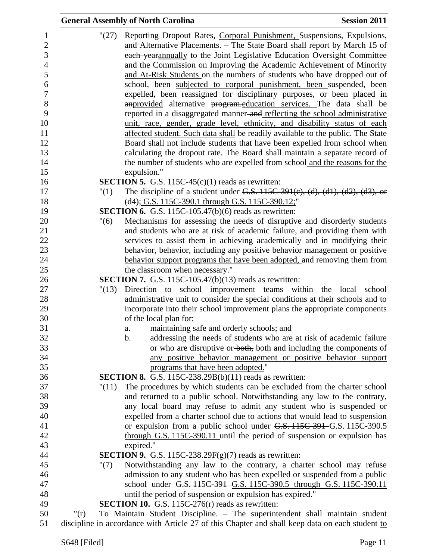| <b>General Assembly of North Carolina</b>                                                                                                                                                                                                                                                           | <b>Session 2011</b> |
|-----------------------------------------------------------------------------------------------------------------------------------------------------------------------------------------------------------------------------------------------------------------------------------------------------|---------------------|
| Reporting Dropout Rates, Corporal Punishment, Suspensions, Expulsions,<br>"(27)<br>$\mathbf{1}$<br>$\boldsymbol{2}$<br>and Alternative Placements. – The State Board shall report by March 15 of<br>3<br>each yearannually to the Joint Legislative Education Oversight Committee<br>$\overline{4}$ |                     |
| and the Commission on Improving the Academic Achievement of Minority<br>and At-Risk Students on the numbers of students who have dropped out of                                                                                                                                                     |                     |
| school, been subjected to corporal punishment, been suspended, been                                                                                                                                                                                                                                 |                     |
| expelled, been reassigned for disciplinary purposes, or been placed in<br>an provided alternative program-education services. The data shall be                                                                                                                                                     |                     |
| reported in a disaggregated manner-and reflecting the school administrative                                                                                                                                                                                                                         |                     |
| unit, race, gender, grade level, ethnicity, and disability status of each                                                                                                                                                                                                                           |                     |
| affected student. Such data shall be readily available to the public. The State                                                                                                                                                                                                                     |                     |
| Board shall not include students that have been expelled from school when                                                                                                                                                                                                                           |                     |
| calculating the dropout rate. The Board shall maintain a separate record of<br>the number of students who are expelled from school and the reasons for the                                                                                                                                          |                     |
| expulsion."                                                                                                                                                                                                                                                                                         |                     |
| <b>SECTION 5.</b> G.S. 115C-45 $(c)(1)$ reads as rewritten:                                                                                                                                                                                                                                         |                     |
| The discipline of a student under G.S. $115C-391(c)$ , (d), (d1), (d2), (d3), or<br>"(1)                                                                                                                                                                                                            |                     |
| (d4); G.S. 115C-390.1 through G.S. 115C-390.12;"                                                                                                                                                                                                                                                    |                     |
| <b>SECTION 6.</b> G.S. 115C-105.47(b)(6) reads as rewritten:<br>Mechanisms for assessing the needs of disruptive and disorderly students<br>"(6)                                                                                                                                                    |                     |
| and students who are at risk of academic failure, and providing them with                                                                                                                                                                                                                           |                     |
| services to assist them in achieving academically and in modifying their                                                                                                                                                                                                                            |                     |
| behavior, behavior, including any positive behavior management or positive                                                                                                                                                                                                                          |                     |
| behavior support programs that have been adopted, and removing them from                                                                                                                                                                                                                            |                     |
| the classroom when necessary."<br><b>SECTION 7.</b> G.S. 115C-105.47(b) $(13)$ reads as rewritten:                                                                                                                                                                                                  |                     |
| Direction to school improvement teams within the local<br>"(13)                                                                                                                                                                                                                                     | school              |
| administrative unit to consider the special conditions at their schools and to                                                                                                                                                                                                                      |                     |
| incorporate into their school improvement plans the appropriate components                                                                                                                                                                                                                          |                     |
| of the local plan for:                                                                                                                                                                                                                                                                              |                     |
| maintaining safe and orderly schools; and<br>a.<br>$b$ .<br>addressing the needs of students who are at risk of academic failure                                                                                                                                                                    |                     |
| or who are disruptive or both, both and including the components of                                                                                                                                                                                                                                 |                     |
| any positive behavior management or positive behavior support                                                                                                                                                                                                                                       |                     |
| programs that have been adopted."                                                                                                                                                                                                                                                                   |                     |
| <b>SECTION 8.</b> G.S. 115C-238.29B(b)(11) reads as rewritten:                                                                                                                                                                                                                                      |                     |
| The procedures by which students can be excluded from the charter school<br>"(11)<br>and returned to a public school. Notwithstanding any law to the contrary,                                                                                                                                      |                     |
| any local board may refuse to admit any student who is suspended or                                                                                                                                                                                                                                 |                     |
| expelled from a charter school due to actions that would lead to suspension                                                                                                                                                                                                                         |                     |
| or expulsion from a public school under G.S. 115C-391 G.S. 115C-390.5                                                                                                                                                                                                                               |                     |
| through G.S. 115C-390.11 until the period of suspension or expulsion has                                                                                                                                                                                                                            |                     |
| expired."<br><b>SECTION 9.</b> G.S. 115C-238.29 $F(g)(7)$ reads as rewritten:                                                                                                                                                                                                                       |                     |
| Notwithstanding any law to the contrary, a charter school may refuse<br>" $(7)$                                                                                                                                                                                                                     |                     |
| admission to any student who has been expelled or suspended from a public                                                                                                                                                                                                                           |                     |
| school under G.S. 115C-391 G.S. 115C-390.5 through G.S. 115C-390.11                                                                                                                                                                                                                                 |                     |
| until the period of suspension or expulsion has expired."                                                                                                                                                                                                                                           |                     |
| <b>SECTION 10.</b> G.S. 115C-276 $(r)$ reads as rewritten:<br>To Maintain Student Discipline. – The superintendent shall maintain student<br>" $(r)$                                                                                                                                                |                     |
| discipline in accordance with Article 27 of this Chapter and shall keep data on each student to                                                                                                                                                                                                     |                     |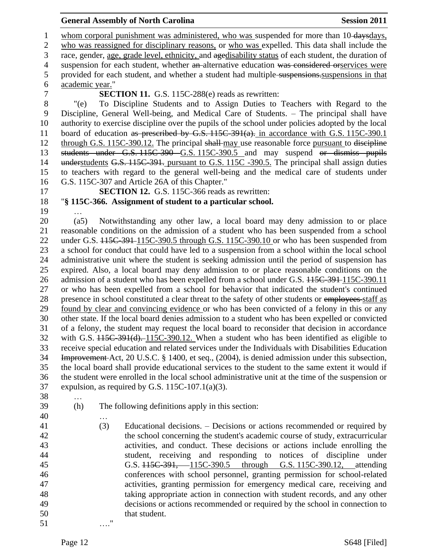#### **General Assembly of North Carolina Session 2011**

1 whom corporal punishment was administered, who was suspended for more than 10-daysdays, who was reassigned for disciplinary reasons, or who was expelled. This data shall include the race, gender, age, grade level, ethnicity, and agedisability status of each student, the duration of 4 suspension for each student, whether an alternative education was considered orservices were 5 provided for each student, and whether a student had multiple-suspensions. Suspensions in that academic year." **SECTION 11.** G.S. 115C-288(e) reads as rewritten: "(e) To Discipline Students and to Assign Duties to Teachers with Regard to the Discipline, General Well-being, and Medical Care of Students. – The principal shall have authority to exercise discipline over the pupils of the school under policies adopted by the local 11 board of education as prescribed by G.S. 115C-391(a). in accordance with G.S. 115C-390.1 12 through G.S. 115C-390.12. The principal shall-may use reasonable force pursuant to discipline students under G.S. 115C-390 G.S. 115C-390.5 and may suspend or dismiss pupils 14 understudents G.S. 115C-391. pursuant to G.S. 115C -390.5. The principal shall assign duties to teachers with regard to the general well-being and the medical care of students under G.S. 115C-307 and Article 26A of this Chapter." **SECTION 12.** G.S. 115C-366 reads as rewritten: "**§ 115C-366. Assignment of student to a particular school.** … (a5) Notwithstanding any other law, a local board may deny admission to or place reasonable conditions on the admission of a student who has been suspended from a school 22 under G.S.  $115C-391-115C-390.5$  through G.S. 115C-390.10 or who has been suspended from a school for conduct that could have led to a suspension from a school within the local school administrative unit where the student is seeking admission until the period of suspension has expired. Also, a local board may deny admission to or place reasonable conditions on the 26 admission of a student who has been expelled from a school under G.S.  $115C-391-115C-390.11$  or who has been expelled from a school for behavior that indicated the student's continued 28 presence in school constituted a clear threat to the safety of other students or employees-staff as found by clear and convincing evidence or who has been convicted of a felony in this or any other state. If the local board denies admission to a student who has been expelled or convicted of a felony, the student may request the local board to reconsider that decision in accordance with G.S. 115C-391(d). 115C-390.12. When a student who has been identified as eligible to receive special education and related services under the Individuals with Disabilities Education Improvement Act, 20 U.S.C. § 1400, et seq., (2004), is denied admission under this subsection, the local board shall provide educational services to the student to the same extent it would if the student were enrolled in the local school administrative unit at the time of the suspension or expulsion, as required by G.S. 115C-107.1(a)(3). … (h) The following definitions apply in this section: … (3) Educational decisions. – Decisions or actions recommended or required by the school concerning the student's academic course of study, extracurricular activities, and conduct. These decisions or actions include enrolling the student, receiving and responding to notices of discipline under G.S. 115C-391, 115C-390.5 through G.S. 115C-390.12, attending conferences with school personnel, granting permission for school-related activities, granting permission for emergency medical care, receiving and taking appropriate action in connection with student records, and any other decisions or actions recommended or required by the school in connection to that student. …."